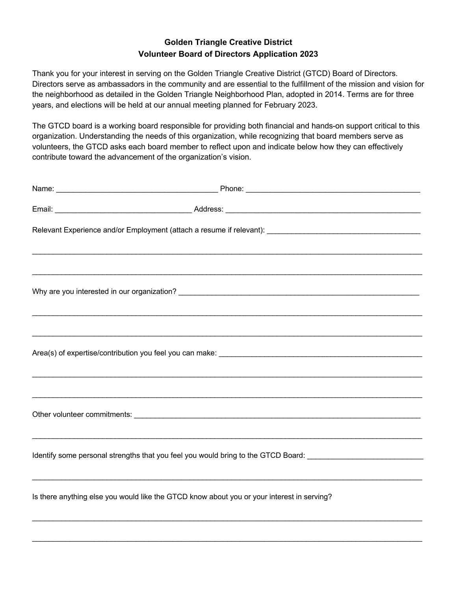## **Golden Triangle Creative District Volunteer Board of Directors Application 2023**

Thank you for your interest in serving on the Golden Triangle Creative District (GTCD) Board of Directors. Directors serve as ambassadors in the community and are essential to the fulfillment of the mission and vision for the neighborhood as detailed in the Golden Triangle Neighborhood Plan, adopted in 2014. Terms are for three years, and elections will be held at our annual meeting planned for February 2023.

The GTCD board is a working board responsible for providing both financial and hands-on support critical to this organization. Understanding the needs of this organization, while recognizing that board members serve as volunteers, the GTCD asks each board member to reflect upon and indicate below how they can effectively contribute toward the advancement of the organization's vision.

| Identify some personal strengths that you feel you would bring to the GTCD Board: ____________________________ |  |
|----------------------------------------------------------------------------------------------------------------|--|
| Is there anything else you would like the GTCD know about you or your interest in serving?                     |  |
|                                                                                                                |  |

 $\mathcal{L}_\mathcal{L} = \mathcal{L}_\mathcal{L} = \mathcal{L}_\mathcal{L} = \mathcal{L}_\mathcal{L} = \mathcal{L}_\mathcal{L} = \mathcal{L}_\mathcal{L} = \mathcal{L}_\mathcal{L} = \mathcal{L}_\mathcal{L} = \mathcal{L}_\mathcal{L} = \mathcal{L}_\mathcal{L} = \mathcal{L}_\mathcal{L} = \mathcal{L}_\mathcal{L} = \mathcal{L}_\mathcal{L} = \mathcal{L}_\mathcal{L} = \mathcal{L}_\mathcal{L} = \mathcal{L}_\mathcal{L} = \mathcal{L}_\mathcal{L}$